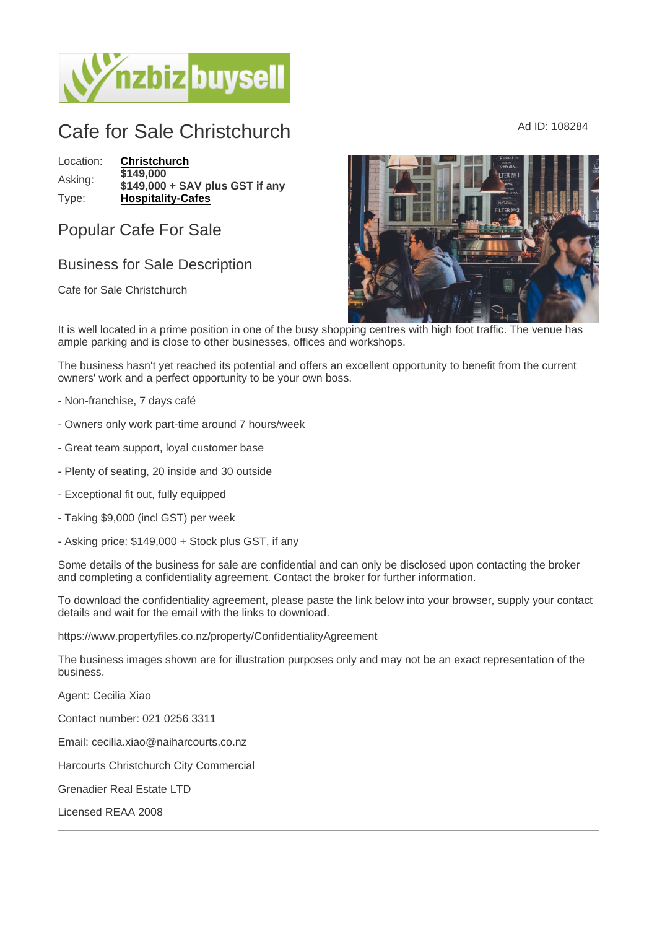## Cafe for Sale Christchurch Ad ID: 108284

Location: [Christchurch](https://www.nzbizbuysell.co.nz/businesses-for-sale/location/Christchurch) Asking: \$149,000 \$149,000 + SAV plus GST if any Type: [Hospitality-Cafes](https://www.nzbizbuysell.co.nz/businesses-for-sale/Cafes/New-Zealand)

Popular Cafe For Sale

## Business for Sale Description

Cafe for Sale Christchurch

It is well located in a prime position in one of the busy shopping centres with high foot traffic. The venue has ample parking and is close to other businesses, offices and workshops.

The business hasn't yet reached its potential and offers an excellent opportunity to benefit from the current owners' work and a perfect opportunity to be your own boss.

- Non-franchise, 7 days café
- Owners only work part-time around 7 hours/week
- Great team support, loyal customer base
- Plenty of seating, 20 inside and 30 outside
- Exceptional fit out, fully equipped
- Taking \$9,000 (incl GST) per week
- Asking price: \$149,000 + Stock plus GST, if any

Some details of the business for sale are confidential and can only be disclosed upon contacting the broker and completing a confidentiality agreement. Contact the broker for further information.

To download the confidentiality agreement, please paste the link below into your browser, supply your contact details and wait for the email with the links to download.

https://www.propertyfiles.co.nz/property/ConfidentialityAgreement

The business images shown are for illustration purposes only and may not be an exact representation of the business.

Agent: Cecilia Xiao

Contact number: 021 0256 3311

Email: cecilia.xiao@naiharcourts.co.nz

Harcourts Christchurch City Commercial

Grenadier Real Estate LTD

Licensed REAA 2008